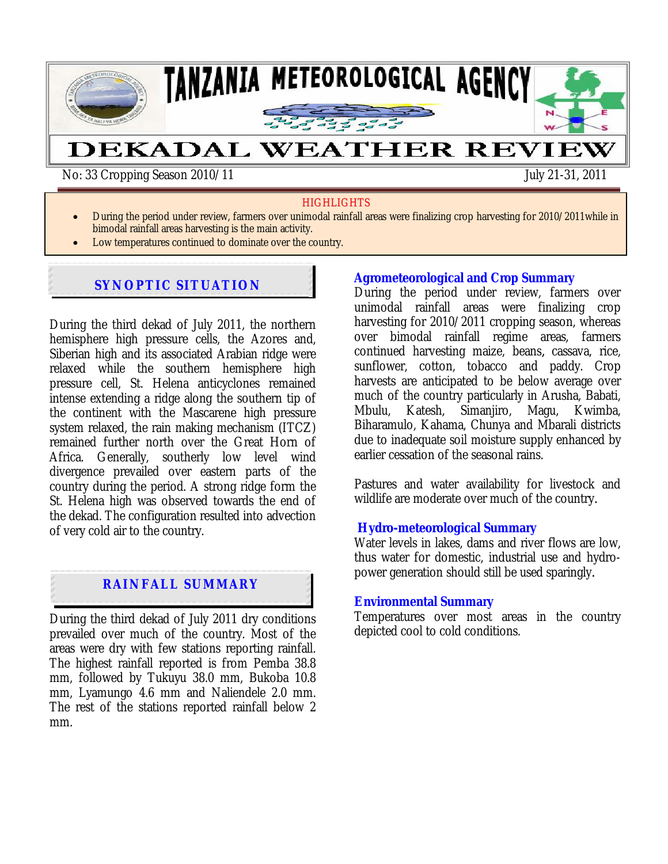

No: 33 Cropping Season 2010/11 July 21-31, 2011

#### **HIGHLIGHTS**

- During the period under review, farmers over unimodal rainfall areas were finalizing crop harvesting for 2010/2011while in bimodal rainfall areas harvesting is the main activity.
- Low temperatures continued to dominate over the country.

## **SYNOPTIC SITUATION**

During the third dekad of July 2011, the northern hemisphere high pressure cells, the Azores and, Siberian high and its associated Arabian ridge were relaxed while the southern hemisphere high pressure cell, St. Helena anticyclones remained intense extending a ridge along the southern tip of the continent with the Mascarene high pressure system relaxed, the rain making mechanism (ITCZ) remained further north over the Great Horn of Africa. Generally, southerly low level wind divergence prevailed over eastern parts of the country during the period. A strong ridge form the St. Helena high was observed towards the end of the dekad. The configuration resulted into advection of very cold air to the country.

## **RAINFALL SUMMARY**

During the third dekad of July 2011 dry conditions prevailed over much of the country. Most of the areas were dry with few stations reporting rainfall. The highest rainfall reported is from Pemba 38.8 mm, followed by Tukuyu 38.0 mm, Bukoba 10.8 mm, Lyamungo 4.6 mm and Naliendele 2.0 mm. The rest of the stations reported rainfall below 2 mm.

### **Agrometeorological and Crop Summary**

During the period under review, farmers over unimodal rainfall areas were finalizing crop harvesting for 2010/2011 cropping season, whereas over bimodal rainfall regime areas, farmers continued harvesting maize, beans*,* cassava, rice, sunflower, cotton, tobacco and paddy. Crop harvests are anticipated to be below average over much of the country particularly in Arusha, Babati, Mbulu, Katesh, Simanjiro, Magu, Kwimba, Biharamulo, Kahama, Chunya and Mbarali districts due to inadequate soil moisture supply enhanced by earlier cessation of the seasonal rains.

Pastures and water availability for livestock and wildlife are moderate over much of the country*.* 

#### **Hydro-meteorological Summary**

Water levels in lakes, dams and river flows are low, thus water for domestic, industrial use and hydropower generation should still be used sparingly*.* 

#### **Environmental Summary**

Temperatures over most areas in the country depicted cool to cold conditions.